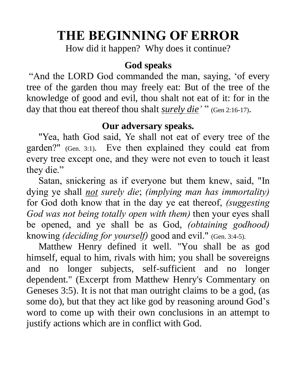# **THE BEGINNING OF ERROR**

How did it happen? Why does it continue?

#### **God speaks**

"And the LORD God commanded the man, saying, 'of every tree of the garden thou may freely eat: But of the tree of the knowledge of good and evil, thou shalt not eat of it: for in the day that thou eat thereof thou shalt *surely die'* " (Gen 2:16-17).

#### **Our adversary speaks.**

 "Yea, hath God said, Ye shall not eat of every tree of the garden?" (Gen. 3:1). Eve then explained they could eat from every tree except one, and they were not even to touch it least they die."

 Satan, snickering as if everyone but them knew, said, "In dying ye shall *not surely die*; *(implying man has immortality)* for God doth know that in the day ye eat thereof, *(suggesting God was not being totally open with them)* then your eyes shall be opened, and ye shall be as God, *(obtaining godhood)* knowing *(deciding for yourself)* good and evil." (Gen. 3:4-5).

 Matthew Henry defined it well. "You shall be as god himself, equal to him, rivals with him; you shall be sovereigns and no longer subjects, self-sufficient and no longer dependent." (Excerpt from Matthew Henry's Commentary on Geneses 3:5). It is not that man outright claims to be a god, (as some do), but that they act like god by reasoning around God's word to come up with their own conclusions in an attempt to justify actions which are in conflict with God.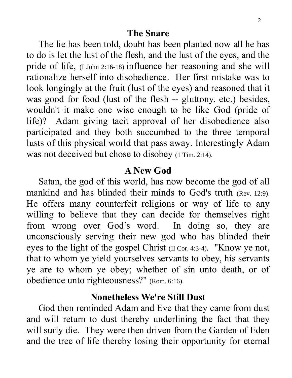#### **The Snare**

 The lie has been told, doubt has been planted now all he has to do is let the lust of the flesh, and the lust of the eyes, and the pride of life, (I John 2:16-18) influence her reasoning and she will rationalize herself into disobedience. Her first mistake was to look longingly at the fruit (lust of the eyes) and reasoned that it was good for food (lust of the flesh -- gluttony, etc.) besides, wouldn't it make one wise enough to be like God (pride of life)? Adam giving tacit approval of her disobedience also participated and they both succumbed to the three temporal lusts of this physical world that pass away. Interestingly Adam was not deceived but chose to disobey (1 Tim. 2:14).

#### **A New God**

 Satan, the god of this world, has now become the god of all mankind and has blinded their minds to God's truth (Rev. 12:9). He offers many counterfeit religions or way of life to any willing to believe that they can decide for themselves right from wrong over God's word. In doing so, they are unconsciously serving their new god who has blinded their eyes to the light of the gospel Christ (II Cor. 4:3-4). "Know ye not, that to whom ye yield yourselves servants to obey, his servants ye are to whom ye obey; whether of sin unto death, or of obedience unto righteousness?" (Rom. 6:16).

#### **Nonetheless We're Still Dust**

 God then reminded Adam and Eve that they came from dust and will return to dust thereby underlining the fact that they will surly die. They were then driven from the Garden of Eden and the tree of life thereby losing their opportunity for eternal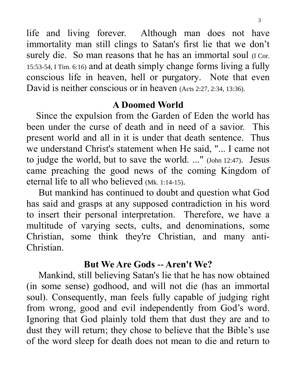life and living forever. Although man does not have immortality man still clings to Satan's first lie that we don't surely die. So man reasons that he has an immortal soul (I Cor. 15:53-54, I Tim. 6:16) and at death simply change forms living a fully conscious life in heaven, hell or purgatory. Note that even David is neither conscious or in heaven (Acts 2:27, 2:34, 13:36).

## **A Doomed World**

 Since the expulsion from the Garden of Eden the world has been under the curse of death and in need of a savior. This present world and all in it is under that death sentence. Thus we understand Christ's statement when He said, "... I came not to judge the world, but to save the world. ..." (John 12:47). Jesus came preaching the good news of the coming Kingdom of eternal life to all who believed (Mk. 1:14-15).

 But mankind has continued to doubt and question what God has said and grasps at any supposed contradiction in his word to insert their personal interpretation. Therefore, we have a multitude of varying sects, cults, and denominations, some Christian, some think they're Christian, and many anti-Christian.

# **But We Are Gods -- Aren't We?**

 Mankind, still believing Satan's lie that he has now obtained (in some sense) godhood, and will not die (has an immortal soul). Consequently, man feels fully capable of judging right from wrong, good and evil independently from God's word. Ignoring that God plainly told them that dust they are and to dust they will return; they chose to believe that the Bible's use of the word sleep for death does not mean to die and return to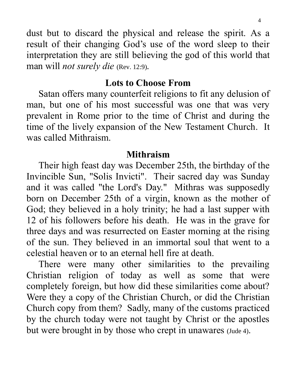dust but to discard the physical and release the spirit. As a result of their changing God's use of the word sleep to their interpretation they are still believing the god of this world that man will *not surely die* (Rev. 12:9).

#### **Lots to Choose From**

 Satan offers many counterfeit religions to fit any delusion of man, but one of his most successful was one that was very prevalent in Rome prior to the time of Christ and during the time of the lively expansion of the New Testament Church. It was called Mithraism.

#### **Mithraism**

 Their high feast day was December 25th, the birthday of the Invincible Sun, "Solis Invicti". Their sacred day was Sunday and it was called "the Lord's Day." Mithras was supposedly born on December 25th of a virgin, known as the mother of God; they believed in a holy trinity; he had a last supper with 12 of his followers before his death. He was in the grave for three days and was resurrected on Easter morning at the rising of the sun. They believed in an immortal soul that went to a celestial heaven or to an eternal hell fire at death.

 There were many other similarities to the prevailing Christian religion of today as well as some that were completely foreign, but how did these similarities come about? Were they a copy of the Christian Church, or did the Christian Church copy from them? Sadly, many of the customs practiced by the church today were not taught by Christ or the apostles but were brought in by those who crept in unawares (Jude 4).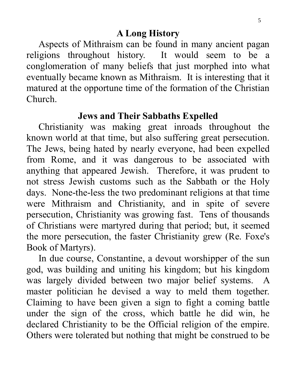Aspects of Mithraism can be found in many ancient pagan religions throughout history. It would seem to be a conglomeration of many beliefs that just morphed into what eventually became known as Mithraism. It is interesting that it matured at the opportune time of the formation of the Christian Church.

#### **Jews and Their Sabbaths Expelled**

 Christianity was making great inroads throughout the known world at that time, but also suffering great persecution. The Jews, being hated by nearly everyone, had been expelled from Rome, and it was dangerous to be associated with anything that appeared Jewish. Therefore, it was prudent to not stress Jewish customs such as the Sabbath or the Holy days. None-the-less the two predominant religions at that time were Mithraism and Christianity, and in spite of severe persecution, Christianity was growing fast. Tens of thousands of Christians were martyred during that period; but, it seemed the more persecution, the faster Christianity grew (Re. Foxe's Book of Martyrs).

 In due course, Constantine, a devout worshipper of the sun god, was building and uniting his kingdom; but his kingdom was largely divided between two major belief systems. A master politician he devised a way to meld them together. Claiming to have been given a sign to fight a coming battle under the sign of the cross, which battle he did win, he declared Christianity to be the Official religion of the empire. Others were tolerated but nothing that might be construed to be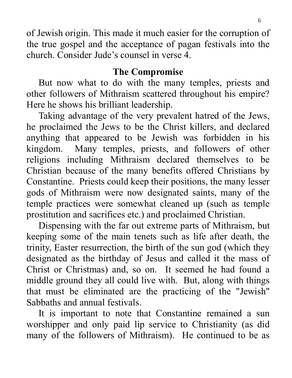of Jewish origin. This made it much easier for the corruption of the true gospel and the acceptance of pagan festivals into the church. Consider Jude's counsel in verse 4.

# **The Compromise**

 But now what to do with the many temples, priests and other followers of Mithraism scattered throughout his empire? Here he shows his brilliant leadership.

 Taking advantage of the very prevalent hatred of the Jews, he proclaimed the Jews to be the Christ killers, and declared anything that appeared to be Jewish was forbidden in his kingdom. Many temples, priests, and followers of other religions including Mithraism declared themselves to be Christian because of the many benefits offered Christians by Constantine. Priests could keep their positions, the many lesser gods of Mithraism were now designated saints, many of the temple practices were somewhat cleaned up (such as temple prostitution and sacrifices etc.) and proclaimed Christian.

 Dispensing with the far out extreme parts of Mithraism, but keeping some of the main tenets such as life after death, the trinity, Easter resurrection, the birth of the sun god (which they designated as the birthday of Jesus and called it the mass of Christ or Christmas) and, so on. It seemed he had found a middle ground they all could live with. But, along with things that must be eliminated are the practicing of the "Jewish" Sabbaths and annual festivals.

 It is important to note that Constantine remained a sun worshipper and only paid lip service to Christianity (as did many of the followers of Mithraism). He continued to be as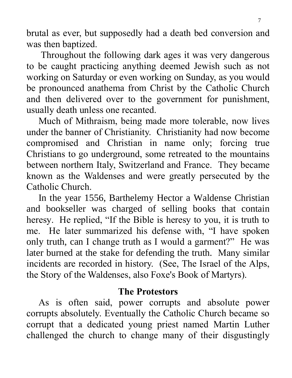brutal as ever, but supposedly had a death bed conversion and was then baptized.

 Throughout the following dark ages it was very dangerous to be caught practicing anything deemed Jewish such as not working on Saturday or even working on Sunday, as you would be pronounced anathema from Christ by the Catholic Church and then delivered over to the government for punishment, usually death unless one recanted.

 Much of Mithraism, being made more tolerable, now lives under the banner of Christianity. Christianity had now become compromised and Christian in name only; forcing true Christians to go underground, some retreated to the mountains between northern Italy, Switzerland and France. They became known as the Waldenses and were greatly persecuted by the Catholic Church.

 In the year 1556, Barthelemy Hector a Waldense Christian and bookseller was charged of selling books that contain heresy. He replied, "If the Bible is heresy to you, it is truth to me. He later summarized his defense with, "I have spoken only truth, can I change truth as I would a garment?" He was later burned at the stake for defending the truth. Many similar incidents are recorded in history. (See, The Israel of the Alps, the Story of the Waldenses, also Foxe's Book of Martyrs).

## **The Protestors**

 As is often said, power corrupts and absolute power corrupts absolutely. Eventually the Catholic Church became so corrupt that a dedicated young priest named Martin Luther challenged the church to change many of their disgustingly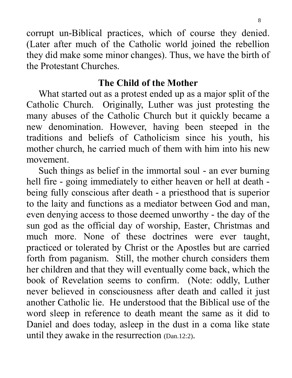corrupt un-Biblical practices, which of course they denied. (Later after much of the Catholic world joined the rebellion they did make some minor changes). Thus, we have the birth of the Protestant Churches.

#### **The Child of the Mother**

 What started out as a protest ended up as a major split of the Catholic Church. Originally, Luther was just protesting the many abuses of the Catholic Church but it quickly became a new denomination. However, having been steeped in the traditions and beliefs of Catholicism since his youth, his mother church, he carried much of them with him into his new movement.

 Such things as belief in the immortal soul - an ever burning hell fire - going immediately to either heaven or hell at death being fully conscious after death - a priesthood that is superior to the laity and functions as a mediator between God and man, even denying access to those deemed unworthy - the day of the sun god as the official day of worship, Easter, Christmas and much more. None of these doctrines were ever taught, practiced or tolerated by Christ or the Apostles but are carried forth from paganism. Still, the mother church considers them her children and that they will eventually come back, which the book of Revelation seems to confirm. (Note: oddly, Luther never believed in consciousness after death and called it just another Catholic lie. He understood that the Biblical use of the word sleep in reference to death meant the same as it did to Daniel and does today, asleep in the dust in a coma like state until they awake in the resurrection (Dan.12:2).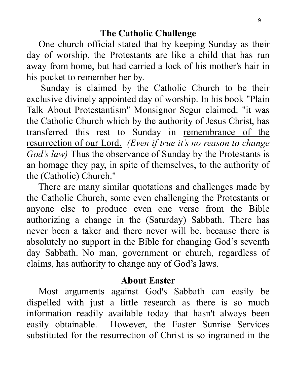One church official stated that by keeping Sunday as their day of worship, the Protestants are like a child that has run away from home, but had carried a lock of his mother's hair in his pocket to remember her by.

 Sunday is claimed by the Catholic Church to be their exclusive divinely appointed day of worship. In his book "Plain Talk About Protestantism" Monsignor Segur claimed: "it was the Catholic Church which by the authority of Jesus Christ, has transferred this rest to Sunday in remembrance of the resurrection of our Lord. *(Even if true it's no reason to change God's law)* Thus the observance of Sunday by the Protestants is an homage they pay, in spite of themselves, to the authority of the (Catholic) Church."

 There are many similar quotations and challenges made by the Catholic Church, some even challenging the Protestants or anyone else to produce even one verse from the Bible authorizing a change in the (Saturday) Sabbath. There has never been a taker and there never will be, because there is absolutely no support in the Bible for changing God's seventh day Sabbath. No man, government or church, regardless of claims, has authority to change any of God's laws.

#### **About Easter**

 Most arguments against God's Sabbath can easily be dispelled with just a little research as there is so much information readily available today that hasn't always been easily obtainable. However, the Easter Sunrise Services substituted for the resurrection of Christ is so ingrained in the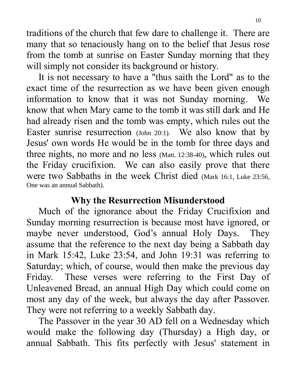traditions of the church that few dare to challenge it. There are many that so tenaciously hang on to the belief that Jesus rose from the tomb at sunrise on Easter Sunday morning that they will simply not consider its background or history.

 It is not necessary to have a "thus saith the Lord" as to the exact time of the resurrection as we have been given enough information to know that it was not Sunday morning. We know that when Mary came to the tomb it was still dark and He had already risen and the tomb was empty, which rules out the Easter sunrise resurrection (John 20:1). We also know that by Jesus' own words He would be in the tomb for three days and three nights, no more and no less (Matt. 12:38-40), which rules out the Friday crucifixion. We can also easily prove that there were two Sabbaths in the week Christ died (Mark 16:1, Luke 23:56, One was an annual Sabbath).

## **Why the Resurrection Misunderstood**

 Much of the ignorance about the Friday Crucifixion and Sunday morning resurrection is because most have ignored, or maybe never understood, God's annual Holy Days. They assume that the reference to the next day being a Sabbath day in Mark 15:42, Luke 23:54, and John 19:31 was referring to Saturday; which, of course, would then make the previous day Friday. These verses were referring to the First Day of Unleavened Bread, an annual High Day which could come on most any day of the week, but always the day after Passover. They were not referring to a weekly Sabbath day.

 The Passover in the year 30 AD fell on a Wednesday which would make the following day (Thursday) a High day, or annual Sabbath. This fits perfectly with Jesus' statement in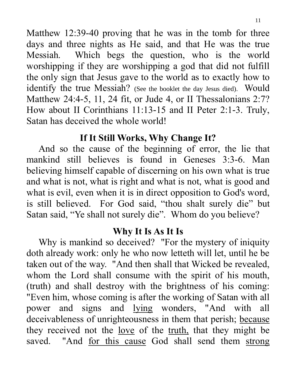Matthew 12:39-40 proving that he was in the tomb for three days and three nights as He said, and that He was the true Messiah. Which begs the question, who is the world worshipping if they are worshipping a god that did not fulfill the only sign that Jesus gave to the world as to exactly how to identify the true Messiah? (See the booklet the day Jesus died). Would Matthew 24:4-5, 11, 24 fit, or Jude 4, or II Thessalonians 2:7? How about II Corinthians 11:13-15 and II Peter 2:1-3. Truly, Satan has deceived the whole world!

# **If It Still Works, Why Change It?**

 And so the cause of the beginning of error, the lie that mankind still believes is found in Geneses 3:3-6. Man believing himself capable of discerning on his own what is true and what is not, what is right and what is not, what is good and what is evil, even when it is in direct opposition to God's word, is still believed. For God said, "thou shalt surely die" but Satan said, "Ye shall not surely die". Whom do you believe?

# **Why It Is As It Is**

 Why is mankind so deceived? "For the mystery of iniquity doth already work: only he who now letteth will let, until he be taken out of the way. "And then shall that Wicked be revealed, whom the Lord shall consume with the spirit of his mouth, (truth) and shall destroy with the brightness of his coming: "Even him, whose coming is after the working of Satan with all power and signs and lying wonders, "And with all deceivableness of unrighteousness in them that perish; because they received not the love of the truth, that they might be saved. "And for this cause God shall send them strong